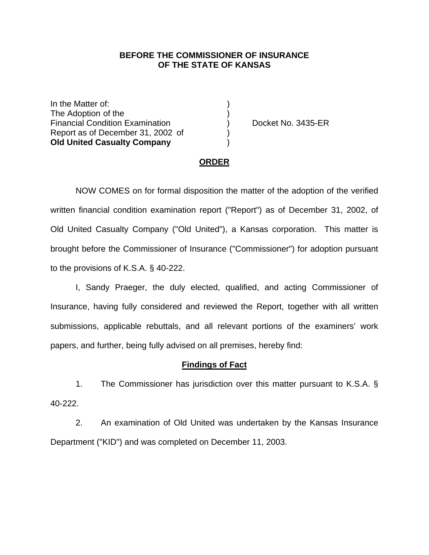## **BEFORE THE COMMISSIONER OF INSURANCE OF THE STATE OF KANSAS**

In the Matter of: The Adoption of the ) Financial Condition Examination (b) Docket No. 3435-ER Report as of December 31, 2002 of ) **Old United Casualty Company** )

## **ORDER**

 NOW COMES on for formal disposition the matter of the adoption of the verified written financial condition examination report ("Report") as of December 31, 2002, of Old United Casualty Company ("Old United"), a Kansas corporation. This matter is brought before the Commissioner of Insurance ("Commissioner") for adoption pursuant to the provisions of K.S.A. § 40-222.

 I, Sandy Praeger, the duly elected, qualified, and acting Commissioner of Insurance, having fully considered and reviewed the Report, together with all written submissions, applicable rebuttals, and all relevant portions of the examiners' work papers, and further, being fully advised on all premises, hereby find:

## **Findings of Fact**

 1. The Commissioner has jurisdiction over this matter pursuant to K.S.A. § 40-222.

 2. An examination of Old United was undertaken by the Kansas Insurance Department ("KID") and was completed on December 11, 2003.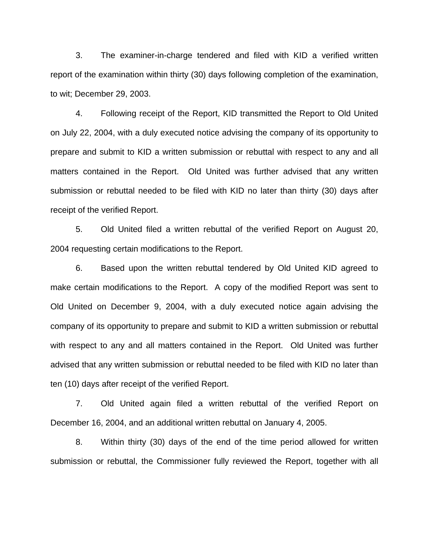3. The examiner-in-charge tendered and filed with KID a verified written report of the examination within thirty (30) days following completion of the examination, to wit; December 29, 2003.

 4. Following receipt of the Report, KID transmitted the Report to Old United on July 22, 2004, with a duly executed notice advising the company of its opportunity to prepare and submit to KID a written submission or rebuttal with respect to any and all matters contained in the Report. Old United was further advised that any written submission or rebuttal needed to be filed with KID no later than thirty (30) days after receipt of the verified Report.

 5. Old United filed a written rebuttal of the verified Report on August 20, 2004 requesting certain modifications to the Report.

 6. Based upon the written rebuttal tendered by Old United KID agreed to make certain modifications to the Report. A copy of the modified Report was sent to Old United on December 9, 2004, with a duly executed notice again advising the company of its opportunity to prepare and submit to KID a written submission or rebuttal with respect to any and all matters contained in the Report. Old United was further advised that any written submission or rebuttal needed to be filed with KID no later than ten (10) days after receipt of the verified Report.

 7. Old United again filed a written rebuttal of the verified Report on December 16, 2004, and an additional written rebuttal on January 4, 2005.

 8. Within thirty (30) days of the end of the time period allowed for written submission or rebuttal, the Commissioner fully reviewed the Report, together with all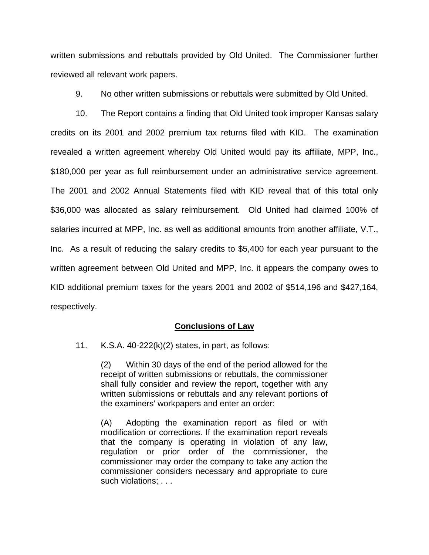written submissions and rebuttals provided by Old United. The Commissioner further reviewed all relevant work papers.

9. No other written submissions or rebuttals were submitted by Old United.

 10. The Report contains a finding that Old United took improper Kansas salary credits on its 2001 and 2002 premium tax returns filed with KID. The examination revealed a written agreement whereby Old United would pay its affiliate, MPP, Inc., \$180,000 per year as full reimbursement under an administrative service agreement. The 2001 and 2002 Annual Statements filed with KID reveal that of this total only \$36,000 was allocated as salary reimbursement. Old United had claimed 100% of salaries incurred at MPP, Inc. as well as additional amounts from another affiliate, V.T., Inc. As a result of reducing the salary credits to \$5,400 for each year pursuant to the written agreement between Old United and MPP, Inc. it appears the company owes to KID additional premium taxes for the years 2001 and 2002 of \$514,196 and \$427,164, respectively.

## **Conclusions of Law**

11. K.S.A. 40-222(k)(2) states, in part, as follows:

(2) Within 30 days of the end of the period allowed for the receipt of written submissions or rebuttals, the commissioner shall fully consider and review the report, together with any written submissions or rebuttals and any relevant portions of the examiners' workpapers and enter an order:

(A) Adopting the examination report as filed or with modification or corrections. If the examination report reveals that the company is operating in violation of any law, regulation or prior order of the commissioner, the commissioner may order the company to take any action the commissioner considers necessary and appropriate to cure such violations; . . .